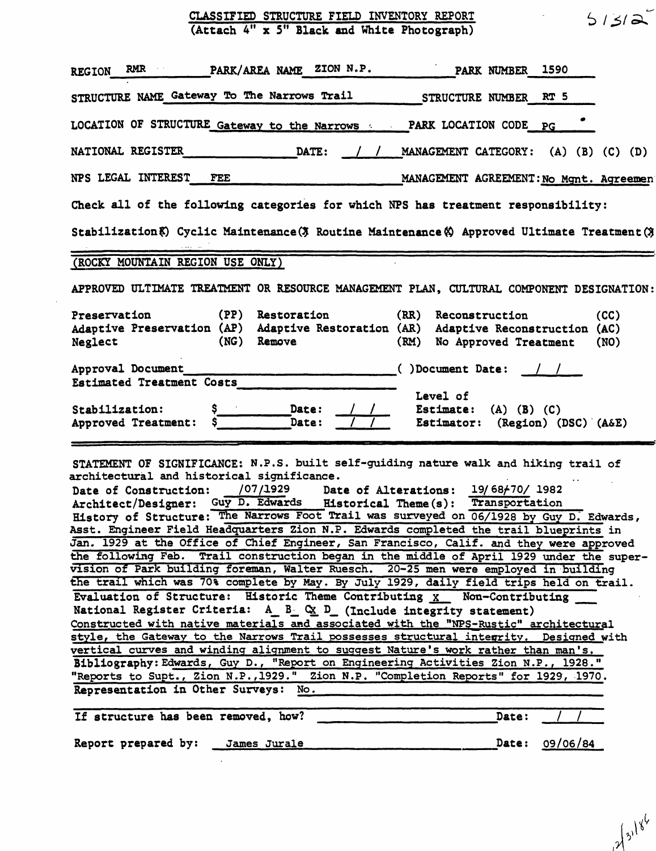## CLASSIFIED STRUCTURE FIELD INVENTORY REPORT  $5/3/5$ (Attach 4" x 5" Black and White Photograph)

| PARK/AREA NAME ZION N.P.<br><b>RMR</b><br>PARK NUMBER<br>1590<br><b>REGION</b>                                                                                                                                                                                                                                                                                                                                                                                                                                                                                                                                                                                                                                                                                                                                                                                                                                                                                                                                                                                                                                                                                                                                                                                                                                                                                                                                                                                                                           |
|----------------------------------------------------------------------------------------------------------------------------------------------------------------------------------------------------------------------------------------------------------------------------------------------------------------------------------------------------------------------------------------------------------------------------------------------------------------------------------------------------------------------------------------------------------------------------------------------------------------------------------------------------------------------------------------------------------------------------------------------------------------------------------------------------------------------------------------------------------------------------------------------------------------------------------------------------------------------------------------------------------------------------------------------------------------------------------------------------------------------------------------------------------------------------------------------------------------------------------------------------------------------------------------------------------------------------------------------------------------------------------------------------------------------------------------------------------------------------------------------------------|
| STRUCTURE NAME Gateway To The Narrows Trail STRUCTURE NUMBER RT 5                                                                                                                                                                                                                                                                                                                                                                                                                                                                                                                                                                                                                                                                                                                                                                                                                                                                                                                                                                                                                                                                                                                                                                                                                                                                                                                                                                                                                                        |
| LOCATION OF STRUCTURE Gateway to the Narrows 4 PARK LOCATION CODE PG                                                                                                                                                                                                                                                                                                                                                                                                                                                                                                                                                                                                                                                                                                                                                                                                                                                                                                                                                                                                                                                                                                                                                                                                                                                                                                                                                                                                                                     |
| DATE:<br>NATIONAL REGISTER<br>/ / MANAGEMENT CATEGORY: (A) (B) (C) (D)                                                                                                                                                                                                                                                                                                                                                                                                                                                                                                                                                                                                                                                                                                                                                                                                                                                                                                                                                                                                                                                                                                                                                                                                                                                                                                                                                                                                                                   |
| NPS LEGAL INTEREST FEE<br>MANAGEMENT AGREEMENT: No Mgnt. Agreemen                                                                                                                                                                                                                                                                                                                                                                                                                                                                                                                                                                                                                                                                                                                                                                                                                                                                                                                                                                                                                                                                                                                                                                                                                                                                                                                                                                                                                                        |
| Check all of the following categories for which NPS has treatment responsibility:                                                                                                                                                                                                                                                                                                                                                                                                                                                                                                                                                                                                                                                                                                                                                                                                                                                                                                                                                                                                                                                                                                                                                                                                                                                                                                                                                                                                                        |
| Stabilization (Cyclic Maintenance (3 Routine Maintenance (9 Approved Ultimate Treatment (3                                                                                                                                                                                                                                                                                                                                                                                                                                                                                                                                                                                                                                                                                                                                                                                                                                                                                                                                                                                                                                                                                                                                                                                                                                                                                                                                                                                                               |
| (ROCKY MOUNTAIN REGION USE ONLY)                                                                                                                                                                                                                                                                                                                                                                                                                                                                                                                                                                                                                                                                                                                                                                                                                                                                                                                                                                                                                                                                                                                                                                                                                                                                                                                                                                                                                                                                         |
| APPROVED ULTIMATE TREATMENT OR RESOURCE MANAGEMENT PLAN, CULTURAL COMPONENT DESIGNATION:                                                                                                                                                                                                                                                                                                                                                                                                                                                                                                                                                                                                                                                                                                                                                                                                                                                                                                                                                                                                                                                                                                                                                                                                                                                                                                                                                                                                                 |
| (PP)<br>Restoration (RR)<br>(CC)<br>Preservation<br>Reconstruction<br>Adaptive Preservation (AP) Adaptive Restoration (AR) Adaptive Reconstruction (AC)<br><b>Remove</b><br>(NG)<br>(RM)<br>No Approved Treatment<br>Neglect<br>(NO)                                                                                                                                                                                                                                                                                                                                                                                                                                                                                                                                                                                                                                                                                                                                                                                                                                                                                                                                                                                                                                                                                                                                                                                                                                                                     |
| Approval Document<br>()Document Date:<br>Estimated Treatment Costs<br>Level of                                                                                                                                                                                                                                                                                                                                                                                                                                                                                                                                                                                                                                                                                                                                                                                                                                                                                                                                                                                                                                                                                                                                                                                                                                                                                                                                                                                                                           |
| Date:<br>Stabilization:<br>Estimate: $(A)$ $(B)$ $(C)$<br>Date:<br>Approved Treatment:<br>Estimator: (Region) (DSC) (A&E)                                                                                                                                                                                                                                                                                                                                                                                                                                                                                                                                                                                                                                                                                                                                                                                                                                                                                                                                                                                                                                                                                                                                                                                                                                                                                                                                                                                |
| STATEMENT OF SIGNIFICANCE: N.P.S. built self-guiding nature walk and hiking trail of<br>architectural and historical significance.<br>Date of Construction: /07/1929<br>Date of Alterations: 19/68/70/1982<br>Architect/Designer: Guy D. Edwards Historical Theme(s): Transportation<br>History of Structure: The Narrows Foot Trail was surveyed on 06/1928 by Guy D. Edwards,<br>Asst. Engineer Field Headquarters Zion N.P. Edwards completed the trail blueprints in<br>Jan. 1929 at the Office of Chief Engineer, San Francisco, Calif. and they were approved<br>the following Feb. Trail construction began in the middle of April 1929 under the super-<br>vision of Park building foreman, Walter Ruesch. 20-25 men were employed in building<br>the trail which was 70% complete by May. By July 1929, daily field trips held on trail.<br>Evaluation of Structure: Historic Theme Contributing X Non-Contributing<br>National Register Criteria: $A \ B \ C \ X \ D$ (Include integrity statement)<br>Constructed with native materials and associated with the "NPS-Rustic" architectural<br>style, the Gateway to the Narrows Trail possesses structural integrity. Designed with<br>vertical curves and winding alignment to suggest Nature's work rather than man's.<br>Bibliography: Edwards, Guy D., "Report on Engineering Activities Zion N.P., 1928."<br>"Reports to Supt., Zion N.P., 1929." Zion N.P. "Completion Reports" for 1929, 1970.<br>Representation in Other Surveys: No. |
| If structure has been removed, how?<br>Date:                                                                                                                                                                                                                                                                                                                                                                                                                                                                                                                                                                                                                                                                                                                                                                                                                                                                                                                                                                                                                                                                                                                                                                                                                                                                                                                                                                                                                                                             |
| Date: 09/06/84<br>Report prepared by: James Jurale                                                                                                                                                                                                                                                                                                                                                                                                                                                                                                                                                                                                                                                                                                                                                                                                                                                                                                                                                                                                                                                                                                                                                                                                                                                                                                                                                                                                                                                       |

 $\ddot{\phantom{a}}$ 

 $2^{3^{184}}$